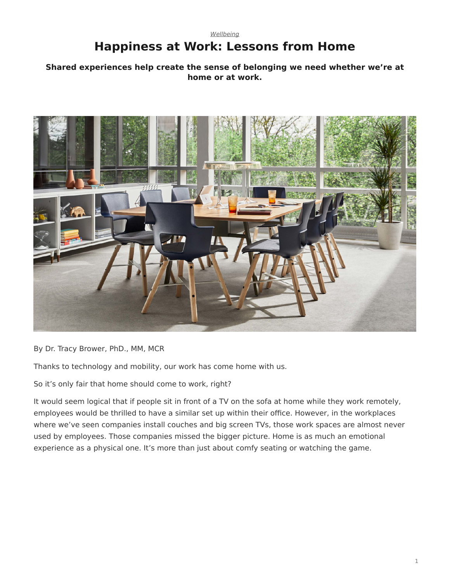# <span id="page-0-0"></span>*[Wellbeing](https://www.steelcase.com/research/topics/wellbeing/)* **Happiness at Work: Lessons from Home**

# **Shared experiences help create the sense of belonging we need whether we're at home or at work.**



By Dr. Tracy Brower, PhD., MM, MCR

Thanks to technology and mobility, our work has come home with us.

So it's only fair that home should come to work, right?

It would seem logical that if people sit in front of a TV on the sofa at home while they work remotely, employees would be thrilled to have a similar set up within their office. However, in the workplaces where we've seen companies install couches and big screen TVs, those work spaces are almost never used by employees. Those companies missed the bigger picture. Home is as much an emotional experience as a physical one. It's more than just about comfy seating or watching the game.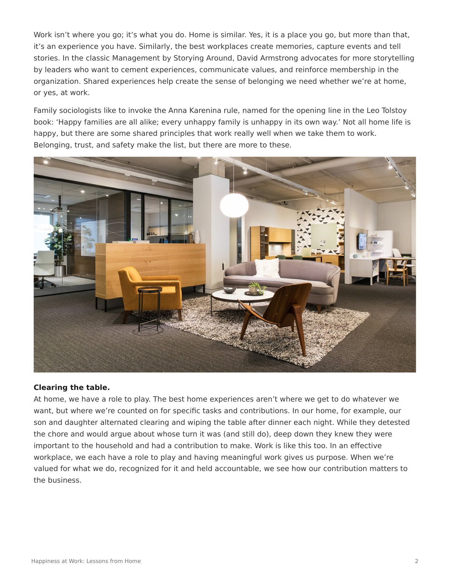Work isn't where you go; it's what you do. Home is similar. Yes, it is a place you go, but more than that, it's an experience you have. Similarly, the best workplaces create memories, capture events and tell stories. In the classic Management by Storying Around, David Armstrong advocates for more storytelling by leaders who want to cement experiences, communicate values, and reinforce membership in the organization. Shared experiences help create the sense of belonging we need whether we're at home, or yes, at work.

Family sociologists like to invoke the Anna Karenina rule, named for the opening line in the Leo Tolstoy book: 'Happy families are all alike; every unhappy family is unhappy in its own way.' Not all home life is happy, but there are some shared principles that work really well when we take them to work. Belonging, trust, and safety make the list, but there are more to these.



## **Clearing the table.**

At home, we have a role to play. The best home experiences aren't where we get to do whatever we want, but where we're counted on for specific tasks and contributions. In our home, for example, our son and daughter alternated clearing and wiping the table after dinner each night. While they detested the chore and would argue about whose turn it was (and still do), deep down they knew they were important to the household and had a contribution to make. Work is like this too. In an effective workplace, we each have a role to play and having meaningful work gives us purpose. When we're valued for what we do, recognized for it and held accountable, we see how our contribution matters to the business.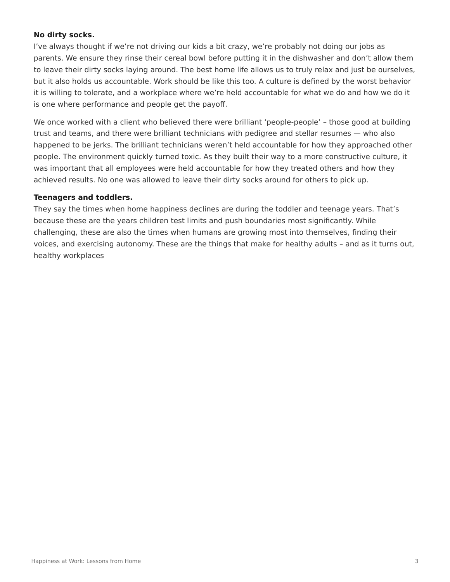# **No dirty socks.**

I've always thought if we're not driving our kids a bit crazy, we're probably not doing our jobs as parents. We ensure they rinse their cereal bowl before putting it in the dishwasher and don't allow them to leave their dirty socks laying around. The best home life allows us to truly relax and just be ourselves, but it also holds us accountable. Work should be like this too. A culture is defined by the worst behavior it is willing to tolerate, and a workplace where we're held accountable for what we do and how we do it is one where performance and people get the payoff.

We once worked with a client who believed there were brilliant 'people-people' – those good at building trust and teams, and there were brilliant technicians with pedigree and stellar resumes — who also happened to be jerks. The brilliant technicians weren't held accountable for how they approached other people. The environment quickly turned toxic. As they built their way to a more constructive culture, it was important that all employees were held accountable for how they treated others and how they achieved results. No one was allowed to leave their dirty socks around for others to pick up.

## **Teenagers and toddlers.**

They say the times when home happiness declines are during the toddler and teenage years. That's because these are the years children test limits and push boundaries most significantly. While challenging, these are also the times when humans are growing most into themselves, finding their voices, and exercising autonomy. These are the things that make for healthy adults – and as it turns out, healthy workplaces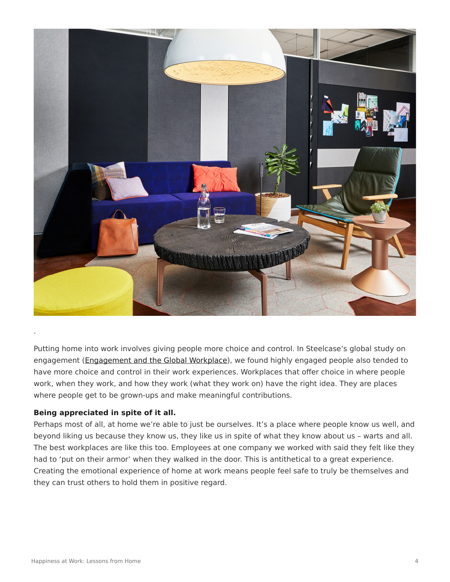

Putting home into work involves giving people more choice and control. In Steelcase's global study on engagement ([Engagement and the Global Workplace](https://www.steelcase.com/steelcase-global-report/)), we found highly engaged people also tended to have more choice and control in their work experiences. Workplaces that offer choice in where people work, when they work, and how they work (what they work on) have the right idea. They are places where people get to be grown-ups and make meaningful contributions.

## **Being appreciated in spite of it all.**

Perhaps most of all, at home we're able to just be ourselves. It's a place where people know us well, and beyond liking us because they know us, they like us in spite of what they know about us – warts and all. The best workplaces are like this too. Employees at one company we worked with said they felt like they had to 'put on their armor' when they walked in the door. This is antithetical to a great experience. Creating the emotional experience of home at work means people feel safe to truly be themselves and they can trust others to hold them in positive regard.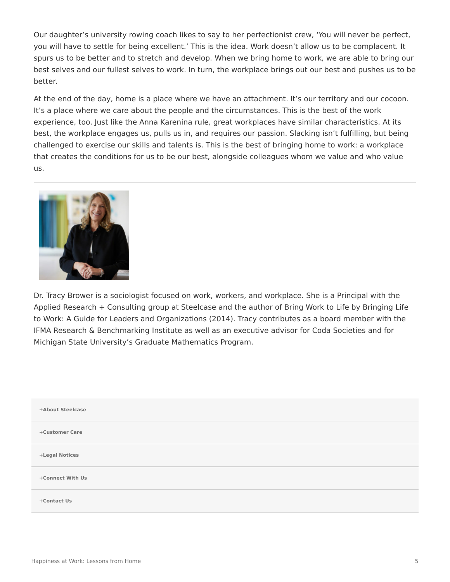Our daughter's university rowing coach likes to say to her perfectionist crew, 'You will never be perfect, you will have to settle for being excellent.' This is the idea. Work doesn't allow us to be complacent. It spurs us to be better and to stretch and develop. When we bring home to work, we are able to bring our best selves and our fullest selves to work. In turn, the workplace brings out our best and pushes us to be better.

At the end of the day, home is a place where we have an attachment. It's our territory and our cocoon. It's a place where we care about the people and the circumstances. This is the best of the work experience, too. Just like the Anna Karenina rule, great workplaces have similar characteristics. At its best, the workplace engages us, pulls us in, and requires our passion. Slacking isn't fulfilling, but being challenged to exercise our skills and talents is. This is the best of bringing home to work: a workplace that creates the conditions for us to be our best, alongside colleagues whom we value and who value us.



Dr. Tracy Brower is a sociologist focused on work, workers, and workplace. She is a Principal with the Applied Research + Consulting group at Steelcase and the author of Bring Work to Life by Bringing Life to Work: A Guide for Leaders and Organizations (2014). Tracy contributes as a board member with the IFMA Research & Benchmarking Institute as well as an executive advisor for Coda Societies and for Michigan State University's Graduate Mathematics Program.

| +About Steelcase |  |
|------------------|--|
| +Customer Care   |  |
| +Legal Notices   |  |
| +Connect With Us |  |
| +Contact Us      |  |